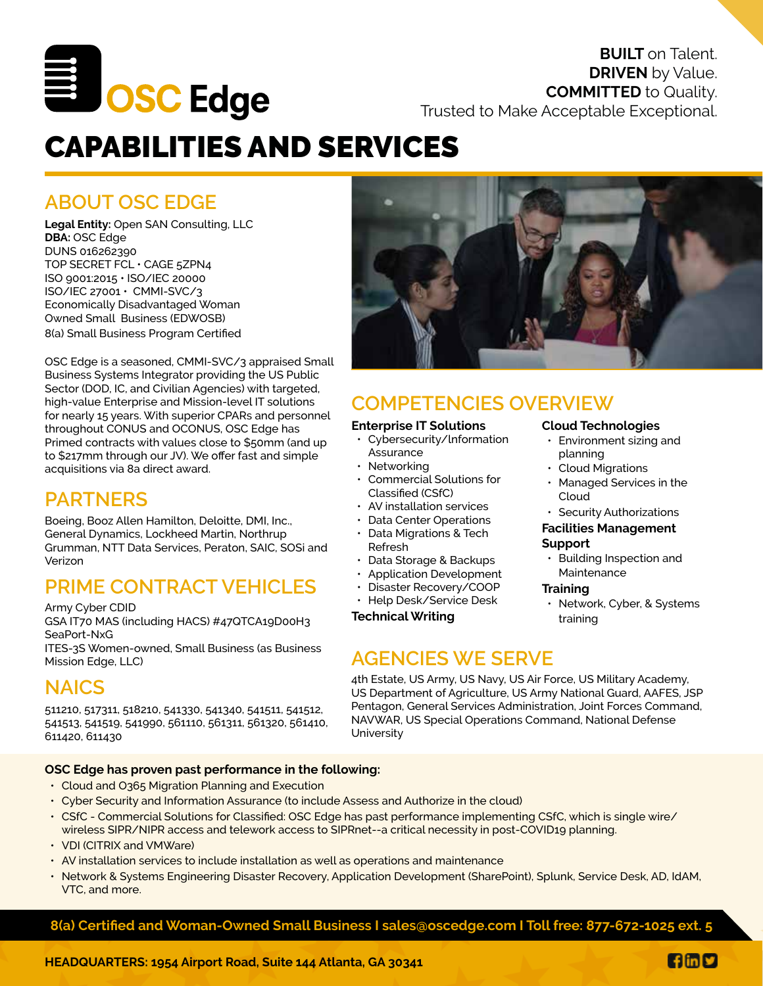

**DRIVEN** by Value. **COMMITTED** to Quality. Trusted to Make Acceptable Exceptional.

**BUILT** on Talent.

# CAPABILITIES AND SERVICES

## **ABOUT OSC EDGE**

**Legal Entity:** Open SAN Consulting, LLC **DBA:** OSC Edge DUNS 016262390 TOP SECRET FCL • CAGE 5ZPN4 ISO 9001:2015 • ISO/IEC 20000 ISO/IEC 27001 • CMMI-SVC/3 Economically Disadvantaged Woman Owned Small Business (EDWOSB) 8(a) Small Business Program Certified

OSC Edge is a seasoned, CMMI-SVC/3 appraised Small Business Systems Integrator providing the US Public Sector (DOD, IC, and Civilian Agencies) with targeted, high-value Enterprise and Mission-level IT solutions for nearly 15 years. With superior CPARs and personnel throughout CONUS and OCONUS, OSC Edge has Primed contracts with values close to \$50mm (and up to \$217mm through our JV). We offer fast and simple acquisitions via 8a direct award.

## **PARTNERS**

Boeing, Booz Allen Hamilton, Deloitte, DMI, Inc., General Dynamics, Lockheed Martin, Northrup Grumman, NTT Data Services, Peraton, SAIC, SOSi and Verizon

## **PRIME CONTRACT VEHICLES**

Army Cyber CDID

GSA IT70 MAS (including HACS) #47QTCA19D00H3 SeaPort-NxG

ITES-3S Women-owned, Small Business (as Business Mission Edge, LLC) **Mission Edge, LLC** 

## **NAICS**

511210, 517311, 518210, 541330, 541340, 541511, 541512, 541513, 541519, 541990, 561110, 561311, 561320, 561410, 611420, 611430

#### **OSC Edge has proven past performance in the following:**

- Cloud and O365 Migration Planning and Execution
- Cyber Security and Information Assurance (to include Assess and Authorize in the cloud)
- CSfC Commercial Solutions for Classified: OSC Edge has past performance implementing CSfC, which is single wire/ wireless SIPR/NIPR access and telework access to SIPRnet--a critical necessity in post-COVID19 planning.
- VDI (CITRIX and VMWare)
- AV installation services to include installation as well as operations and maintenance
- Network & Systems Engineering Disaster Recovery, Application Development (SharePoint), Splunk, Service Desk, AD, IdAM, VTC, and more.

**8(a) Certified and Woman-Owned Small Business I sales@oscedge.com I Toll free: 877-672-1025 ext. 5**



## **COMPETENCIES OVERVIEW**

#### **Enterprise IT Solutions**

- Cybersecurity/lnformation Assurance
- Networking
- Commercial Solutions for Classified (CSfC)
- AV installation services
- Data Center Operations
- Data Migrations & Tech Refresh
- Data Storage & Backups
- Application Development
- Disaster Recovery/COOP
- Help Desk/Service Desk

**Technical Writing**

### **Cloud Technologies**

- Environment sizing and planning
- Cloud Migrations
- Managed Services in the Cloud
- **Security Authorizations**

#### **Facilities Management**

#### **Support**

• Building Inspection and **Maintenance** 

#### **Training**

• Network, Cyber, & Systems training

4th Estate, US Army, US Navy, US Air Force, US Military Academy, US Department of Agriculture, US Army National Guard, AAFES, JSP Pentagon, General Services Administration, Joint Forces Command, NAVWAR, US Special Operations Command, National Defense **University**